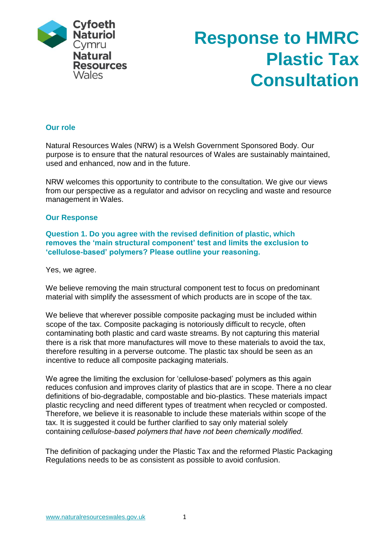

# **Response to HMRC Plastic Tax Consultation**

# **Our role**

Natural Resources Wales (NRW) is a Welsh Government Sponsored Body. Our purpose is to ensure that the natural resources of Wales are sustainably maintained, used and enhanced, now and in the future.

NRW welcomes this opportunity to contribute to the consultation. We give our views from our perspective as a regulator and advisor on recycling and waste and resource management in Wales.

#### **Our Response**

**Question 1. Do you agree with the revised definition of plastic, which removes the 'main structural component' test and limits the exclusion to 'cellulose-based' polymers? Please outline your reasoning.** 

Yes, we agree.

We believe removing the main structural component test to focus on predominant material with simplify the assessment of which products are in scope of the tax.

We believe that wherever possible composite packaging must be included within scope of the tax. Composite packaging is notoriously difficult to recycle, often contaminating both plastic and card waste streams. By not capturing this material there is a risk that more manufactures will move to these materials to avoid the tax, therefore resulting in a perverse outcome. The plastic tax should be seen as an incentive to reduce all composite packaging materials.

We agree the limiting the exclusion for 'cellulose-based' polymers as this again reduces confusion and improves clarity of plastics that are in scope. There a no clear definitions of bio-degradable, compostable and bio-plastics. These materials impact plastic recycling and need different types of treatment when recycled or composted. Therefore, we believe it is reasonable to include these materials within scope of the tax. It is suggested it could be further clarified to say only material solely containing *cellulose-based polymers that have not been chemically modified.* 

The definition of packaging under the Plastic Tax and the reformed Plastic Packaging Regulations needs to be as consistent as possible to avoid confusion.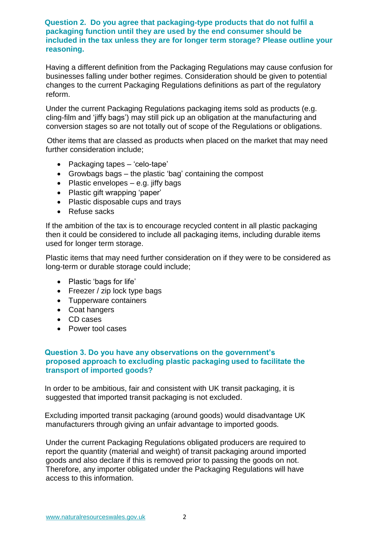#### **Question 2. Do you agree that packaging-type products that do not fulfil a packaging function until they are used by the end consumer should be included in the tax unless they are for longer term storage? Please outline your reasoning.**

Having a different definition from the Packaging Regulations may cause confusion for businesses falling under bother regimes. Consideration should be given to potential changes to the current Packaging Regulations definitions as part of the regulatory reform.

Under the current Packaging Regulations packaging items sold as products (e.g. cling-film and 'jiffy bags') may still pick up an obligation at the manufacturing and conversion stages so are not totally out of scope of the Regulations or obligations.

Other items that are classed as products when placed on the market that may need further consideration include;

- Packaging tapes 'celo-tape'
- Growbags bags the plastic 'bag' containing the compost
- Plastic envelopes  $-$  e.g. jiffy bags
- Plastic gift wrapping 'paper'
- Plastic disposable cups and trays
- Refuse sacks

If the ambition of the tax is to encourage recycled content in all plastic packaging then it could be considered to include all packaging items, including durable items used for longer term storage.

Plastic items that may need further consideration on if they were to be considered as long-term or durable storage could include;

- Plastic 'bags for life'
- Freezer / zip lock type bags
- Tupperware containers
- Coat hangers
- CD cases
- Power tool cases

# **Question 3. Do you have any observations on the government's proposed approach to excluding plastic packaging used to facilitate the transport of imported goods?**

In order to be ambitious, fair and consistent with UK transit packaging, it is suggested that imported transit packaging is not excluded.

Excluding imported transit packaging (around goods) would disadvantage UK manufacturers through giving an unfair advantage to imported goods.

Under the current Packaging Regulations obligated producers are required to report the quantity (material and weight) of transit packaging around imported goods and also declare if this is removed prior to passing the goods on not. Therefore, any importer obligated under the Packaging Regulations will have access to this information.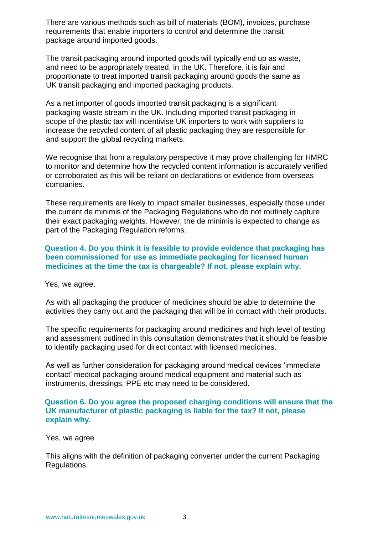There are various methods such as bill of materials (BOM), invoices, purchase requirements that enable importers to control and determine the transit package around imported goods.

The transit packaging around imported goods will typically end up as waste, and need to be appropriately treated, in the UK. Therefore, it is fair and proportionate to treat imported transit packaging around goods the same as UK transit packaging and imported packaging products.

As a net importer of goods imported transit packaging is a significant packaging waste stream in the UK. Including imported transit packaging in scope of the plastic tax will incentivise UK importers to work with suppliers to increase the recycled content of all plastic packaging they are responsible for and support the global recycling markets.

We recognise that from a regulatory perspective it may prove challenging for HMRC to monitor and determine how the recycled content information is accurately verified or corroborated as this will be reliant on declarations or evidence from overseas companies.

These requirements are likely to impact smaller businesses, especially those under the current de minimis of the Packaging Regulations who do not routinely capture their exact packaging weights. However, the de minimis is expected to change as part of the Packaging Regulation reforms.

#### **Question 4. Do you think it is feasible to provide evidence that packaging has been commissioned for use as immediate packaging for licensed human medicines at the time the tax is chargeable? If not, please explain why.**

Yes, we agree.

As with all packaging the producer of medicines should be able to determine the activities they carry out and the packaging that will be in contact with their products.

The specific requirements for packaging around medicines and high level of testing and assessment outlined in this consultation demonstrates that it should be feasible to identify packaging used for direct contact with licensed medicines.

As well as further consideration for packaging around medical devices 'immediate contact' medical packaging around medical equipment and material such as instruments, dressings, PPE etc may need to be considered.

#### **Question 6. Do you agree the proposed charging conditions will ensure that the UK manufacturer of plastic packaging is liable for the tax? If not, please explain why.**

Yes, we agree

This aligns with the definition of packaging converter under the current Packaging Regulations.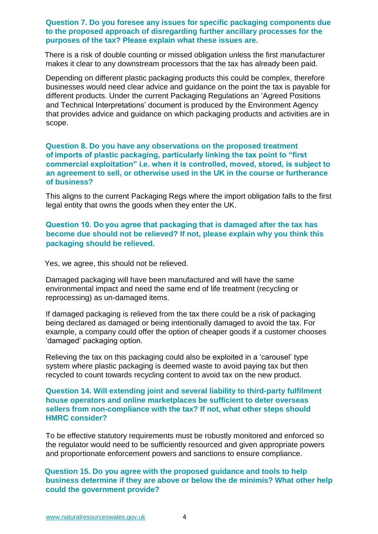#### **Question 7. Do you foresee any issues for specific packaging components due to the proposed approach of disregarding further ancillary processes for the purposes of the tax? Please explain what these issues are.**

There is a risk of double counting or missed obligation unless the first manufacturer makes it clear to any downstream processors that the tax has already been paid.

Depending on different plastic packaging products this could be complex, therefore businesses would need clear advice and guidance on the point the tax is payable for different products. Under the current Packaging Regulations an 'Agreed Positions and Technical Interpretations' document is produced by the Environment Agency that provides advice and guidance on which packaging products and activities are in scope.

#### **Question 8. Do you have any observations on the proposed treatment of imports of plastic packaging, particularly linking the tax point to "first commercial exploitation" i.e. when it is controlled, moved, stored, is subject to an agreement to sell, or otherwise used in the UK in the course or furtherance of business?**

This aligns to the current Packaging Regs where the import obligation falls to the first legal entity that owns the goods when they enter the UK.

# **Question 10. Do you agree that packaging that is damaged after the tax has become due should not be relieved? If not, please explain why you think this packaging should be relieved.**

Yes, we agree, this should not be relieved.

Damaged packaging will have been manufactured and will have the same environmental impact and need the same end of life treatment (recycling or reprocessing) as un-damaged items.

If damaged packaging is relieved from the tax there could be a risk of packaging being declared as damaged or being intentionally damaged to avoid the tax. For example, a company could offer the option of cheaper goods if a customer chooses 'damaged' packaging option.

Relieving the tax on this packaging could also be exploited in a 'carousel' type system where plastic packaging is deemed waste to avoid paying tax but then recycled to count towards recycling content to avoid tax on the new product.

#### **Question 14. Will extending joint and several liability to third-party fulfilment house operators and online marketplaces be sufficient to deter overseas sellers from non-compliance with the tax? If not, what other steps should HMRC consider?**

To be effective statutory requirements must be robustly monitored and enforced so the regulator would need to be sufficiently resourced and given appropriate powers and proportionate enforcement powers and sanctions to ensure compliance.

#### **Question 15. Do you agree with the proposed guidance and tools to help business determine if they are above or below the de minimis? What other help could the government provide?**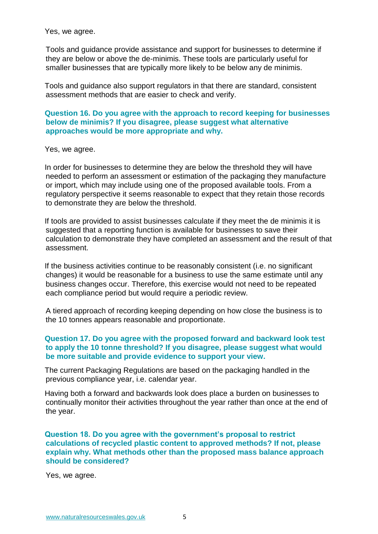Yes, we agree.

Tools and guidance provide assistance and support for businesses to determine if they are below or above the de-minimis. These tools are particularly useful for smaller businesses that are typically more likely to be below any de minimis.

Tools and guidance also support regulators in that there are standard, consistent assessment methods that are easier to check and verify.

**Question 16. Do you agree with the approach to record keeping for businesses below de minimis? If you disagree, please suggest what alternative approaches would be more appropriate and why.**

Yes, we agree.

In order for businesses to determine they are below the threshold they will have needed to perform an assessment or estimation of the packaging they manufacture or import, which may include using one of the proposed available tools. From a regulatory perspective it seems reasonable to expect that they retain those records to demonstrate they are below the threshold.

If tools are provided to assist businesses calculate if they meet the de minimis it is suggested that a reporting function is available for businesses to save their calculation to demonstrate they have completed an assessment and the result of that assessment.

If the business activities continue to be reasonably consistent (i.e. no significant changes) it would be reasonable for a business to use the same estimate until any business changes occur. Therefore, this exercise would not need to be repeated each compliance period but would require a periodic review.

A tiered approach of recording keeping depending on how close the business is to the 10 tonnes appears reasonable and proportionate.

#### **Question 17. Do you agree with the proposed forward and backward look test to apply the 10 tonne threshold? If you disagree, please suggest what would be more suitable and provide evidence to support your view.**

The current Packaging Regulations are based on the packaging handled in the previous compliance year, i.e. calendar year.

Having both a forward and backwards look does place a burden on businesses to continually monitor their activities throughout the year rather than once at the end of the year.

**Question 18. Do you agree with the government's proposal to restrict calculations of recycled plastic content to approved methods? If not, please explain why. What methods other than the proposed mass balance approach should be considered?** 

Yes, we agree.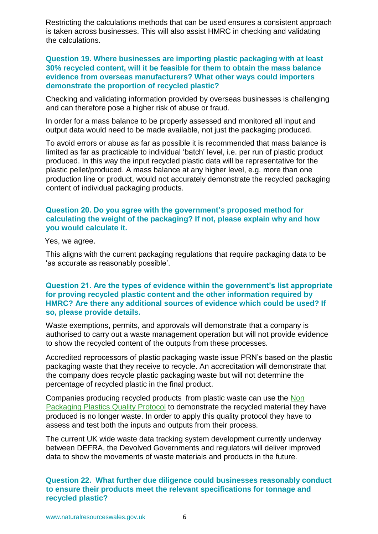Restricting the calculations methods that can be used ensures a consistent approach is taken across businesses. This will also assist HMRC in checking and validating the calculations.

**Question 19. Where businesses are importing plastic packaging with at least 30% recycled content, will it be feasible for them to obtain the mass balance evidence from overseas manufacturers? What other ways could importers demonstrate the proportion of recycled plastic?** 

Checking and validating information provided by overseas businesses is challenging and can therefore pose a higher risk of abuse or fraud.

In order for a mass balance to be properly assessed and monitored all input and output data would need to be made available, not just the packaging produced.

To avoid errors or abuse as far as possible it is recommended that mass balance is limited as far as practicable to individual 'batch' level, i.e. per run of plastic product produced. In this way the input recycled plastic data will be representative for the plastic pellet/produced. A mass balance at any higher level, e.g. more than one production line or product, would not accurately demonstrate the recycled packaging content of individual packaging products.

# **Question 20. Do you agree with the government's proposed method for calculating the weight of the packaging? If not, please explain why and how you would calculate it.**

Yes, we agree.

This aligns with the current packaging regulations that require packaging data to be 'as accurate as reasonably possible'.

#### **Question 21. Are the types of evidence within the government's list appropriate for proving recycled plastic content and the other information required by HMRC? Are there any additional sources of evidence which could be used? If so, please provide details.**

Waste exemptions, permits, and approvals will demonstrate that a company is authorised to carry out a waste management operation but will not provide evidence to show the recycled content of the outputs from these processes.

Accredited reprocessors of plastic packaging waste issue PRN's based on the plastic packaging waste that they receive to recycle. An accreditation will demonstrate that the company does recycle plastic packaging waste but will not determine the percentage of recycled plastic in the final product.

Companies producing recycled products from plastic waste can use the [Non](https://www.gov.uk/government/publications/non-packaging-plastics-quality-protocol)  [Packaging Plastics Quality Protocol](https://www.gov.uk/government/publications/non-packaging-plastics-quality-protocol) to demonstrate the recycled material they have produced is no longer waste. In order to apply this quality protocol they have to assess and test both the inputs and outputs from their process.

The current UK wide waste data tracking system development currently underway between DEFRA, the Devolved Governments and regulators will deliver improved data to show the movements of waste materials and products in the future.

**Question 22. What further due diligence could businesses reasonably conduct to ensure their products meet the relevant specifications for tonnage and recycled plastic?**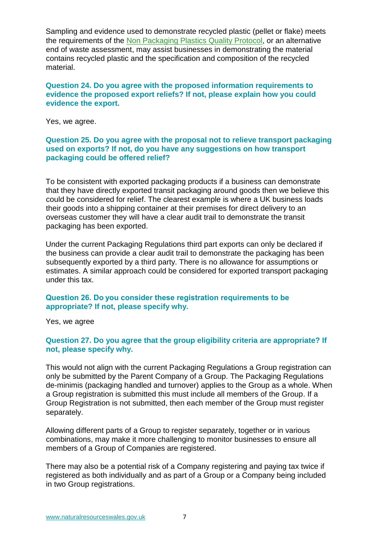Sampling and evidence used to demonstrate recycled plastic (pellet or flake) meets the requirements of the [Non Packaging Plastics Quality Protocol,](https://www.gov.uk/government/publications/non-packaging-plastics-quality-protocol) or an alternative end of waste assessment, may assist businesses in demonstrating the material contains recycled plastic and the specification and composition of the recycled material.

# **Question 24. Do you agree with the proposed information requirements to evidence the proposed export reliefs? If not, please explain how you could evidence the export.**

Yes, we agree.

#### **Question 25. Do you agree with the proposal not to relieve transport packaging used on exports? If not, do you have any suggestions on how transport packaging could be offered relief?**

To be consistent with exported packaging products if a business can demonstrate that they have directly exported transit packaging around goods then we believe this could be considered for relief. The clearest example is where a UK business loads their goods into a shipping container at their premises for direct delivery to an overseas customer they will have a clear audit trail to demonstrate the transit packaging has been exported.

Under the current Packaging Regulations third part exports can only be declared if the business can provide a clear audit trail to demonstrate the packaging has been subsequently exported by a third party. There is no allowance for assumptions or estimates. A similar approach could be considered for exported transport packaging under this tax.

#### **Question 26. Do you consider these registration requirements to be appropriate? If not, please specify why.**

Yes, we agree

# **Question 27. Do you agree that the group eligibility criteria are appropriate? If not, please specify why.**

This would not align with the current Packaging Regulations a Group registration can only be submitted by the Parent Company of a Group. The Packaging Regulations de-minimis (packaging handled and turnover) applies to the Group as a whole. When a Group registration is submitted this must include all members of the Group. If a Group Registration is not submitted, then each member of the Group must register separately.

Allowing different parts of a Group to register separately, together or in various combinations, may make it more challenging to monitor businesses to ensure all members of a Group of Companies are registered.

There may also be a potential risk of a Company registering and paying tax twice if registered as both individually and as part of a Group or a Company being included in two Group registrations.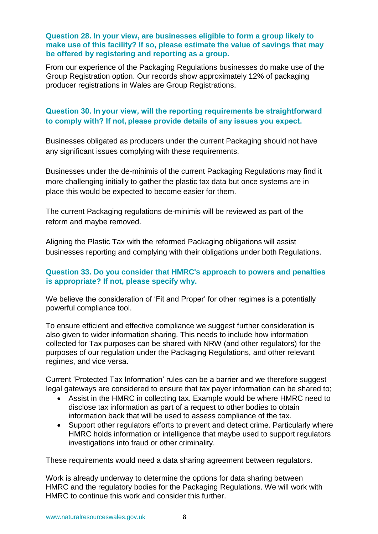# **Question 28. In your view, are businesses eligible to form a group likely to make use of this facility? If so, please estimate the value of savings that may be offered by registering and reporting as a group.**

From our experience of the Packaging Regulations businesses do make use of the Group Registration option. Our records show approximately 12% of packaging producer registrations in Wales are Group Registrations.

# **Question 30. In your view, will the reporting requirements be straightforward to comply with? If not, please provide details of any issues you expect.**

Businesses obligated as producers under the current Packaging should not have any significant issues complying with these requirements.

Businesses under the de-minimis of the current Packaging Regulations may find it more challenging initially to gather the plastic tax data but once systems are in place this would be expected to become easier for them.

The current Packaging regulations de-minimis will be reviewed as part of the reform and maybe removed.

Aligning the Plastic Tax with the reformed Packaging obligations will assist businesses reporting and complying with their obligations under both Regulations.

# **Question 33. Do you consider that HMRC's approach to powers and penalties is appropriate? If not, please specify why.**

We believe the consideration of 'Fit and Proper' for other regimes is a potentially powerful compliance tool.

To ensure efficient and effective compliance we suggest further consideration is also given to wider information sharing. This needs to include how information collected for Tax purposes can be shared with NRW (and other regulators) for the purposes of our regulation under the Packaging Regulations, and other relevant regimes, and vice versa.

Current 'Protected Tax Information' rules can be a barrier and we therefore suggest legal gateways are considered to ensure that tax payer information can be shared to;

- Assist in the HMRC in collecting tax. Example would be where HMRC need to disclose tax information as part of a request to other bodies to obtain information back that will be used to assess compliance of the tax.
- Support other regulators efforts to prevent and detect crime. Particularly where HMRC holds information or intelligence that maybe used to support regulators investigations into fraud or other criminality.

These requirements would need a data sharing agreement between regulators.

Work is already underway to determine the options for data sharing between HMRC and the regulatory bodies for the Packaging Regulations. We will work with HMRC to continue this work and consider this further.